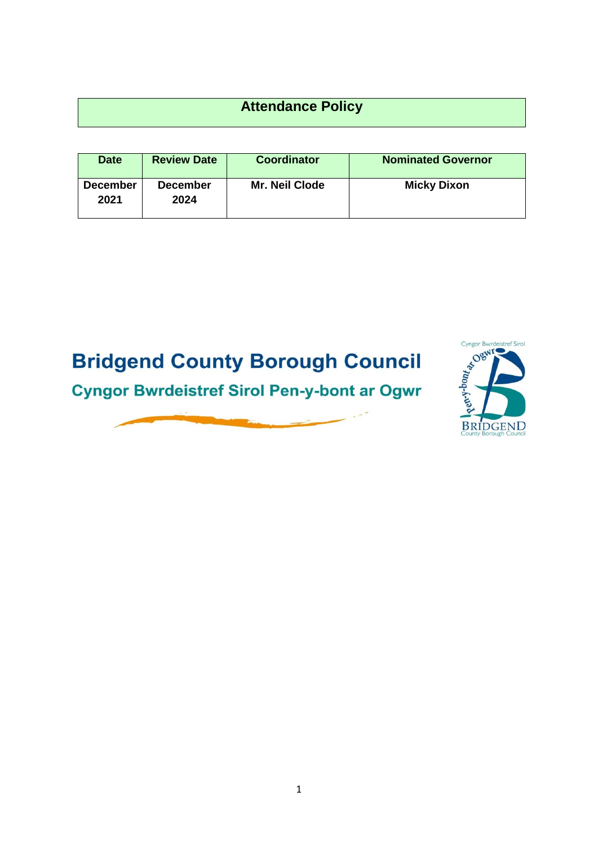|  | <b>Attendance Policy</b> |  |
|--|--------------------------|--|
|  |                          |  |

| <b>Date</b>             | <b>Review Date</b>      | <b>Coordinator</b>    | <b>Nominated Governor</b> |
|-------------------------|-------------------------|-----------------------|---------------------------|
| <b>December</b><br>2021 | <b>December</b><br>2024 | <b>Mr. Neil Clode</b> | <b>Micky Dixon</b>        |

# **Bridgend County Borough Council**

## **Cyngor Bwrdeistref Sirol Pen-y-bont ar Ogwr**



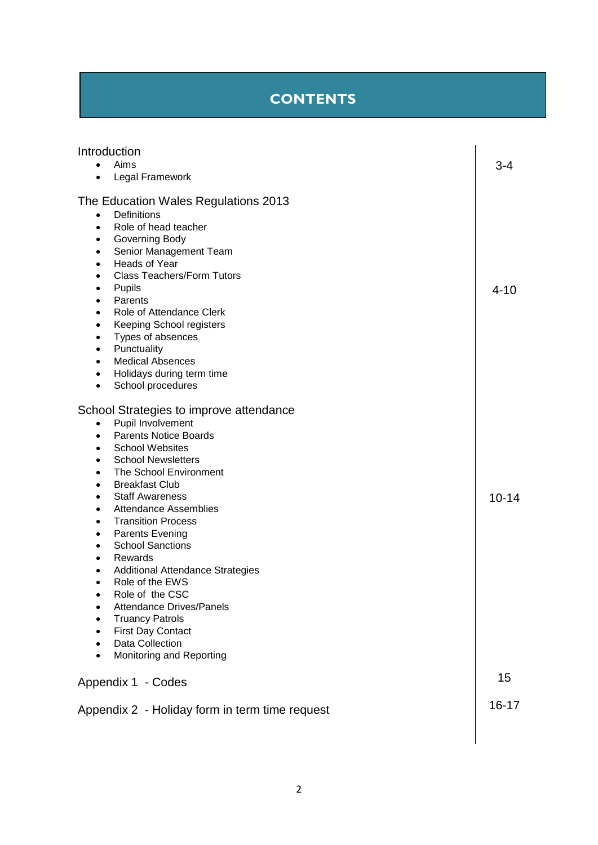## **CONTENTS**

| Introduction<br>Aims<br>$\bullet$<br>Legal Framework<br>$\bullet$                                                                                                                                                                                                                                                                                                                                                                                                                                                                                                                                                                                                                                                                                             |           |  |
|---------------------------------------------------------------------------------------------------------------------------------------------------------------------------------------------------------------------------------------------------------------------------------------------------------------------------------------------------------------------------------------------------------------------------------------------------------------------------------------------------------------------------------------------------------------------------------------------------------------------------------------------------------------------------------------------------------------------------------------------------------------|-----------|--|
| The Education Wales Regulations 2013<br>Definitions<br>$\bullet$<br>Role of head teacher<br>$\bullet$<br>Governing Body<br>$\bullet$<br>Senior Management Team<br>$\bullet$<br>Heads of Year<br>$\bullet$<br><b>Class Teachers/Form Tutors</b><br>$\bullet$<br>Pupils<br>$\bullet$<br>Parents<br>$\bullet$<br>Role of Attendance Clerk<br>$\bullet$<br>Keeping School registers<br>$\bullet$<br>Types of absences<br>$\bullet$<br>Punctuality<br>٠<br><b>Medical Absences</b><br>$\bullet$<br>Holidays during term time<br>٠<br>School procedures<br>$\bullet$                                                                                                                                                                                                | $4 - 10$  |  |
| School Strategies to improve attendance<br>Pupil Involvement<br>$\bullet$<br><b>Parents Notice Boards</b><br>$\bullet$<br><b>School Websites</b><br>$\bullet$<br><b>School Newsletters</b><br>$\bullet$<br>The School Environment<br>$\bullet$<br><b>Breakfast Club</b><br>$\bullet$<br><b>Staff Awareness</b><br>$\bullet$<br><b>Attendance Assemblies</b><br>$\bullet$<br><b>Transition Process</b><br>$\bullet$<br>Parents Evening<br>$\bullet$<br><b>School Sanctions</b><br>$\bullet$<br>Rewards<br>$\bullet$<br><b>Additional Attendance Strategies</b><br>٠<br>Role of the EWS<br>$\bullet$<br>Role of the CSC<br><b>Attendance Drives/Panels</b><br><b>Truancy Patrols</b><br><b>First Day Contact</b><br>Data Collection<br>Monitoring and Reporting | $10 - 14$ |  |
| Appendix 1 - Codes                                                                                                                                                                                                                                                                                                                                                                                                                                                                                                                                                                                                                                                                                                                                            | 15        |  |
| Appendix 2 - Holiday form in term time request                                                                                                                                                                                                                                                                                                                                                                                                                                                                                                                                                                                                                                                                                                                | $16 - 17$ |  |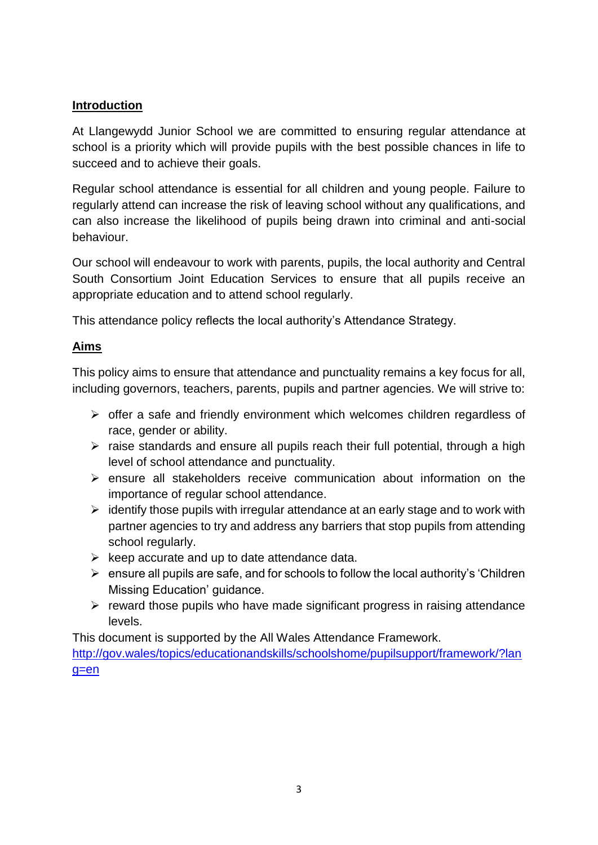#### **Introduction**

At Llangewydd Junior School we are committed to ensuring regular attendance at school is a priority which will provide pupils with the best possible chances in life to succeed and to achieve their goals.

Regular school attendance is essential for all children and young people. Failure to regularly attend can increase the risk of leaving school without any qualifications, and can also increase the likelihood of pupils being drawn into criminal and anti-social behaviour.

Our school will endeavour to work with parents, pupils, the local authority and Central South Consortium Joint Education Services to ensure that all pupils receive an appropriate education and to attend school regularly.

This attendance policy reflects the local authority's Attendance Strategy.

### **Aims**

This policy aims to ensure that attendance and punctuality remains a key focus for all, including governors, teachers, parents, pupils and partner agencies. We will strive to:

- $\triangleright$  offer a safe and friendly environment which welcomes children regardless of race, gender or ability.
- $\triangleright$  raise standards and ensure all pupils reach their full potential, through a high level of school attendance and punctuality.
- $\triangleright$  ensure all stakeholders receive communication about information on the importance of regular school attendance.
- $\triangleright$  identify those pupils with irregular attendance at an early stage and to work with partner agencies to try and address any barriers that stop pupils from attending school regularly.
- $\triangleright$  keep accurate and up to date attendance data.
- $\triangleright$  ensure all pupils are safe, and for schools to follow the local authority's 'Children Missing Education' guidance.
- $\triangleright$  reward those pupils who have made significant progress in raising attendance levels.

This document is supported by the All Wales Attendance Framework. [http://gov.wales/topics/educationandskills/schoolshome/pupilsupport/framework/?lan](http://gov.wales/topics/educationandskills/schoolshome/pupilsupport/framework/?lang=en) [g=en](http://gov.wales/topics/educationandskills/schoolshome/pupilsupport/framework/?lang=en)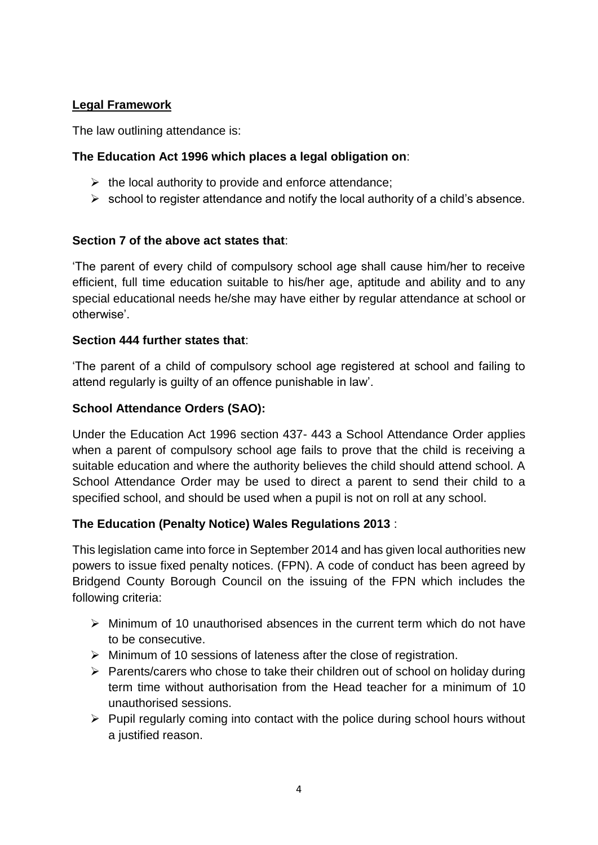## **Legal Framework**

The law outlining attendance is:

#### **The Education Act 1996 which places a legal obligation on**:

- $\triangleright$  the local authority to provide and enforce attendance;
- $\triangleright$  school to register attendance and notify the local authority of a child's absence.

#### **Section 7 of the above act states that**:

'The parent of every child of compulsory school age shall cause him/her to receive efficient, full time education suitable to his/her age, aptitude and ability and to any special educational needs he/she may have either by regular attendance at school or otherwise'.

#### **Section 444 further states that**:

'The parent of a child of compulsory school age registered at school and failing to attend regularly is guilty of an offence punishable in law'.

#### **School Attendance Orders (SAO):**

Under the Education Act 1996 section 437- 443 a School Attendance Order applies when a parent of compulsory school age fails to prove that the child is receiving a suitable education and where the authority believes the child should attend school. A School Attendance Order may be used to direct a parent to send their child to a specified school, and should be used when a pupil is not on roll at any school.

#### **The Education (Penalty Notice) Wales Regulations 2013** :

This legislation came into force in September 2014 and has given local authorities new powers to issue fixed penalty notices. (FPN). A code of conduct has been agreed by Bridgend County Borough Council on the issuing of the FPN which includes the following criteria:

- $\triangleright$  Minimum of 10 unauthorised absences in the current term which do not have to be consecutive.
- $\triangleright$  Minimum of 10 sessions of lateness after the close of registration.
- $\triangleright$  Parents/carers who chose to take their children out of school on holiday during term time without authorisation from the Head teacher for a minimum of 10 unauthorised sessions.
- $\triangleright$  Pupil regularly coming into contact with the police during school hours without a justified reason.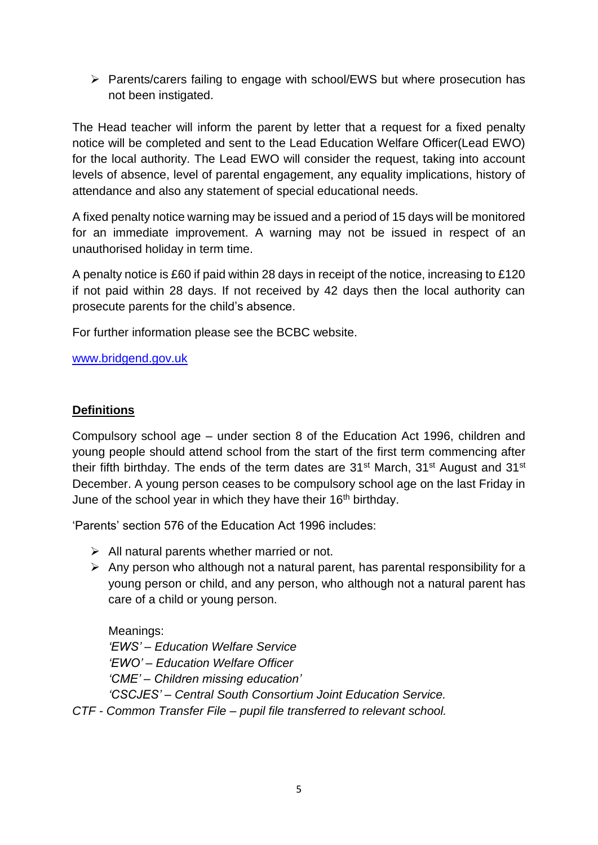$\triangleright$  Parents/carers failing to engage with school/EWS but where prosecution has not been instigated.

The Head teacher will inform the parent by letter that a request for a fixed penalty notice will be completed and sent to the Lead Education Welfare Officer(Lead EWO) for the local authority. The Lead EWO will consider the request, taking into account levels of absence, level of parental engagement, any equality implications, history of attendance and also any statement of special educational needs.

A fixed penalty notice warning may be issued and a period of 15 days will be monitored for an immediate improvement. A warning may not be issued in respect of an unauthorised holiday in term time.

A penalty notice is £60 if paid within 28 days in receipt of the notice, increasing to £120 if not paid within 28 days. If not received by 42 days then the local authority can prosecute parents for the child's absence.

For further information please see the BCBC website.

[www.bridgend.gov.uk](http://www.bridgend.gov.uk/)

### **Definitions**

Compulsory school age – under section 8 of the Education Act 1996, children and young people should attend school from the start of the first term commencing after their fifth birthday. The ends of the term dates are  $31^{st}$  March,  $31^{st}$  August and  $31^{st}$ December. A young person ceases to be compulsory school age on the last Friday in June of the school year in which they have their 16<sup>th</sup> birthday.

'Parents' section 576 of the Education Act 1996 includes:

- $\triangleright$  All natural parents whether married or not.
- $\triangleright$  Any person who although not a natural parent, has parental responsibility for a young person or child, and any person, who although not a natural parent has care of a child or young person.

Meanings: *'EWS' – Education Welfare Service 'EWO' – Education Welfare Officer 'CME' – Children missing education' 'CSCJES' – Central South Consortium Joint Education Service.*

*CTF - Common Transfer File – pupil file transferred to relevant school.*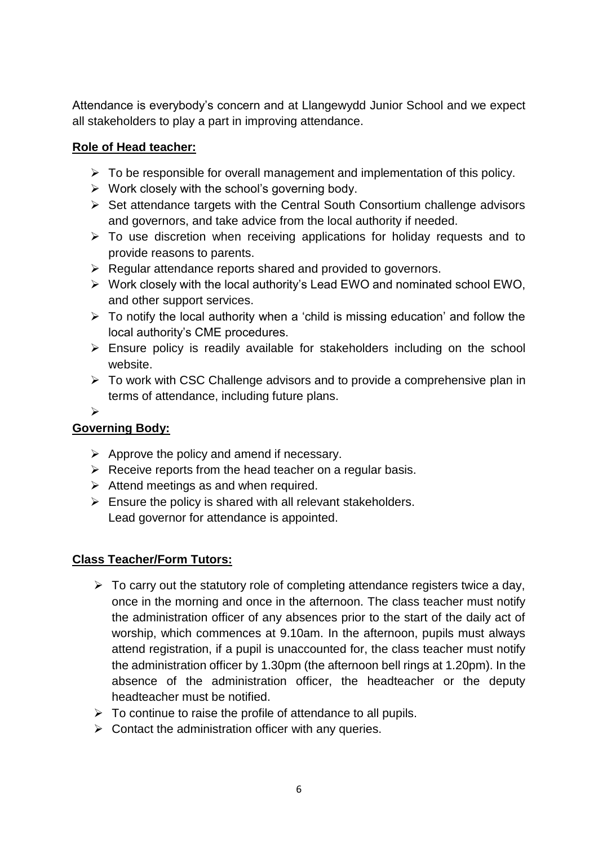Attendance is everybody's concern and at Llangewydd Junior School and we expect all stakeholders to play a part in improving attendance.

### **Role of Head teacher:**

- $\triangleright$  To be responsible for overall management and implementation of this policy.
- $\triangleright$  Work closely with the school's governing body.
- $\triangleright$  Set attendance targets with the Central South Consortium challenge advisors and governors, and take advice from the local authority if needed.
- $\triangleright$  To use discretion when receiving applications for holiday requests and to provide reasons to parents.
- $\triangleright$  Regular attendance reports shared and provided to governors.
- Work closely with the local authority's Lead EWO and nominated school EWO, and other support services.
- $\triangleright$  To notify the local authority when a 'child is missing education' and follow the local authority's CME procedures.
- $\triangleright$  Ensure policy is readily available for stakeholders including on the school website.
- $\triangleright$  To work with CSC Challenge advisors and to provide a comprehensive plan in terms of attendance, including future plans.

 $\triangleright$ 

## **Governing Body:**

- $\triangleright$  Approve the policy and amend if necessary.
- $\triangleright$  Receive reports from the head teacher on a regular basis.
- $\triangleright$  Attend meetings as and when required.
- $\triangleright$  Ensure the policy is shared with all relevant stakeholders. Lead governor for attendance is appointed.

## **Class Teacher/Form Tutors:**

- $\triangleright$  To carry out the statutory role of completing attendance registers twice a day, once in the morning and once in the afternoon. The class teacher must notify the administration officer of any absences prior to the start of the daily act of worship, which commences at 9.10am. In the afternoon, pupils must always attend registration, if a pupil is unaccounted for, the class teacher must notify the administration officer by 1.30pm (the afternoon bell rings at 1.20pm). In the absence of the administration officer, the headteacher or the deputy headteacher must be notified.
- $\triangleright$  To continue to raise the profile of attendance to all pupils.
- $\triangleright$  Contact the administration officer with any queries.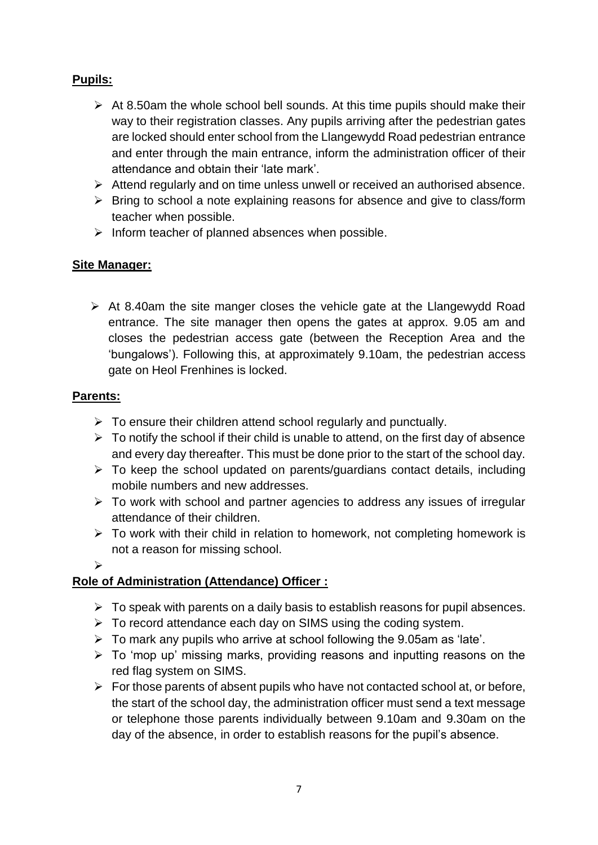## **Pupils:**

- $\triangleright$  At 8.50am the whole school bell sounds. At this time pupils should make their way to their registration classes. Any pupils arriving after the pedestrian gates are locked should enter school from the Llangewydd Road pedestrian entrance and enter through the main entrance, inform the administration officer of their attendance and obtain their 'late mark'.
- $\triangleright$  Attend regularly and on time unless unwell or received an authorised absence.
- $\triangleright$  Bring to school a note explaining reasons for absence and give to class/form teacher when possible.
- $\triangleright$  Inform teacher of planned absences when possible.

### **Site Manager:**

 $\triangleright$  At 8.40am the site manger closes the vehicle gate at the Llangewydd Road entrance. The site manager then opens the gates at approx. 9.05 am and closes the pedestrian access gate (between the Reception Area and the 'bungalows'). Following this, at approximately 9.10am, the pedestrian access gate on Heol Frenhines is locked.

### **Parents:**

- $\triangleright$  To ensure their children attend school regularly and punctually.
- $\triangleright$  To notify the school if their child is unable to attend, on the first day of absence and every day thereafter. This must be done prior to the start of the school day.
- $\triangleright$  To keep the school updated on parents/guardians contact details, including mobile numbers and new addresses.
- $\triangleright$  To work with school and partner agencies to address any issues of irregular attendance of their children.
- $\triangleright$  To work with their child in relation to homework, not completing homework is not a reason for missing school.
- $\blacktriangleright$

## **Role of Administration (Attendance) Officer :**

- $\triangleright$  To speak with parents on a daily basis to establish reasons for pupil absences.
- $\triangleright$  To record attendance each day on SIMS using the coding system.
- $\triangleright$  To mark any pupils who arrive at school following the 9.05am as 'late'.
- $\geq$  To 'mop up' missing marks, providing reasons and inputting reasons on the red flag system on SIMS.
- $\triangleright$  For those parents of absent pupils who have not contacted school at, or before, the start of the school day, the administration officer must send a text message or telephone those parents individually between 9.10am and 9.30am on the day of the absence, in order to establish reasons for the pupil's absence.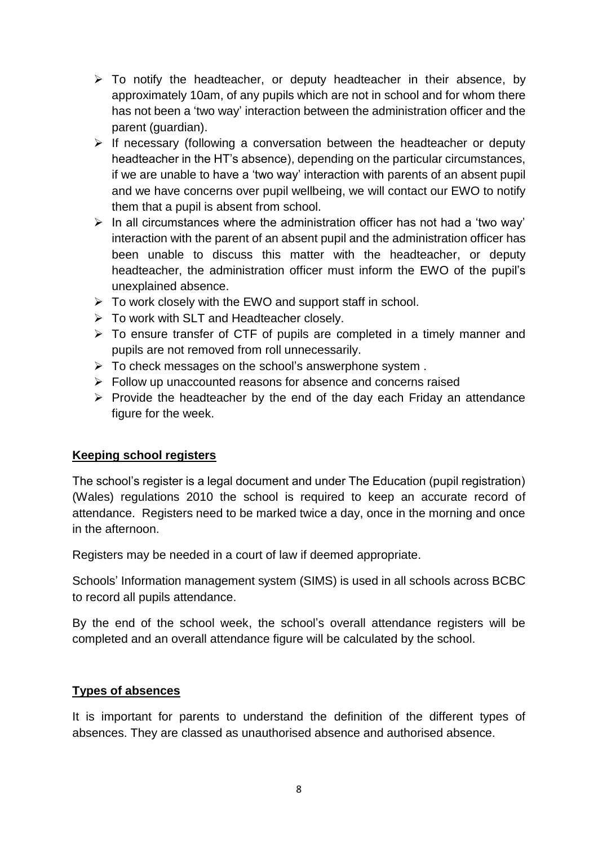- $\triangleright$  To notify the headteacher, or deputy headteacher in their absence, by approximately 10am, of any pupils which are not in school and for whom there has not been a 'two way' interaction between the administration officer and the parent (guardian).
- $\triangleright$  If necessary (following a conversation between the headteacher or deputy headteacher in the HT's absence), depending on the particular circumstances, if we are unable to have a 'two way' interaction with parents of an absent pupil and we have concerns over pupil wellbeing, we will contact our EWO to notify them that a pupil is absent from school.
- $\triangleright$  In all circumstances where the administration officer has not had a 'two way' interaction with the parent of an absent pupil and the administration officer has been unable to discuss this matter with the headteacher, or deputy headteacher, the administration officer must inform the EWO of the pupil's unexplained absence.
- $\triangleright$  To work closely with the EWO and support staff in school.
- $\triangleright$  To work with SLT and Headteacher closely.
- $\triangleright$  To ensure transfer of CTF of pupils are completed in a timely manner and pupils are not removed from roll unnecessarily.
- $\triangleright$  To check messages on the school's answerphone system.
- $\triangleright$  Follow up unaccounted reasons for absence and concerns raised
- $\triangleright$  Provide the headteacher by the end of the day each Friday an attendance figure for the week.

#### **Keeping school registers**

The school's register is a legal document and under The Education (pupil registration) (Wales) regulations 2010 the school is required to keep an accurate record of attendance. Registers need to be marked twice a day, once in the morning and once in the afternoon.

Registers may be needed in a court of law if deemed appropriate.

Schools' Information management system (SIMS) is used in all schools across BCBC to record all pupils attendance.

By the end of the school week, the school's overall attendance registers will be completed and an overall attendance figure will be calculated by the school.

#### **Types of absences**

It is important for parents to understand the definition of the different types of absences. They are classed as unauthorised absence and authorised absence.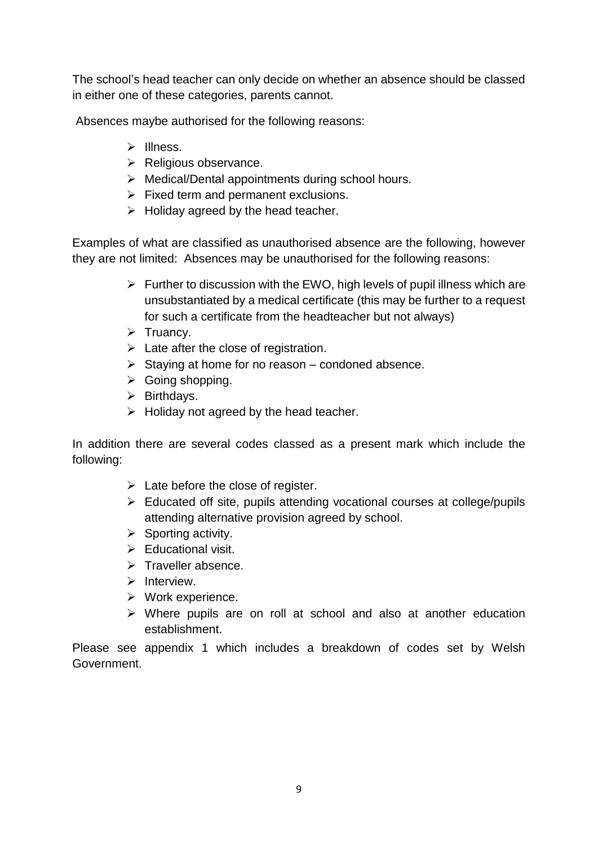The school's head teacher can only decide on whether an absence should be classed in either one of these categories, parents cannot.

Absences maybe authorised for the following reasons:

- $\triangleright$  Illness.
- $\triangleright$  Religious observance.
- $\triangleright$  Medical/Dental appointments during school hours.
- $\triangleright$  Fixed term and permanent exclusions.
- $\triangleright$  Holiday agreed by the head teacher.

Examples of what are classified as unauthorised absence are the following, however they are not limited: Absences may be unauthorised for the following reasons:

- $\triangleright$  Further to discussion with the EWO, high levels of pupil illness which are unsubstantiated by a medical certificate (this may be further to a request for such a certificate from the headteacher but not always)
- $\triangleright$  Truancy.
- $\triangleright$  Late after the close of registration.
- $\triangleright$  Staying at home for no reason condoned absence.
- $\triangleright$  Going shopping.
- $\triangleright$  Birthdays.
- $\triangleright$  Holiday not agreed by the head teacher.

In addition there are several codes classed as a present mark which include the following:

- $\triangleright$  Late before the close of register.
- $\triangleright$  Educated off site, pupils attending vocational courses at college/pupils attending alternative provision agreed by school.
- $\triangleright$  Sporting activity.
- $\triangleright$  Educational visit.
- $\triangleright$  Traveller absence.
- $\triangleright$  Interview.
- $\triangleright$  Work experience.
- $\triangleright$  Where pupils are on roll at school and also at another education establishment.

Please see appendix 1 which includes a breakdown of codes set by Welsh Government.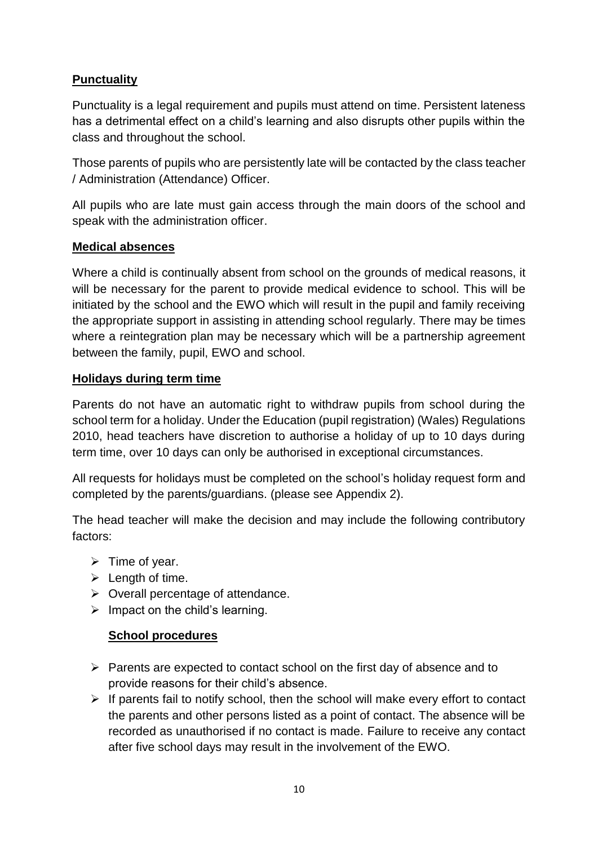## **Punctuality**

Punctuality is a legal requirement and pupils must attend on time. Persistent lateness has a detrimental effect on a child's learning and also disrupts other pupils within the class and throughout the school.

Those parents of pupils who are persistently late will be contacted by the class teacher / Administration (Attendance) Officer.

All pupils who are late must gain access through the main doors of the school and speak with the administration officer.

### **Medical absences**

Where a child is continually absent from school on the grounds of medical reasons, it will be necessary for the parent to provide medical evidence to school. This will be initiated by the school and the EWO which will result in the pupil and family receiving the appropriate support in assisting in attending school regularly. There may be times where a reintegration plan may be necessary which will be a partnership agreement between the family, pupil, EWO and school.

### **Holidays during term time**

Parents do not have an automatic right to withdraw pupils from school during the school term for a holiday. Under the Education (pupil registration) (Wales) Regulations 2010, head teachers have discretion to authorise a holiday of up to 10 days during term time, over 10 days can only be authorised in exceptional circumstances.

All requests for holidays must be completed on the school's holiday request form and completed by the parents/guardians. (please see Appendix 2).

The head teacher will make the decision and may include the following contributory factors:

- $\triangleright$  Time of year.
- $\triangleright$  Length of time.
- $\triangleright$  Overall percentage of attendance.
- $\triangleright$  Impact on the child's learning.

#### **School procedures**

- $\triangleright$  Parents are expected to contact school on the first day of absence and to provide reasons for their child's absence.
- $\triangleright$  If parents fail to notify school, then the school will make every effort to contact the parents and other persons listed as a point of contact. The absence will be recorded as unauthorised if no contact is made. Failure to receive any contact after five school days may result in the involvement of the EWO.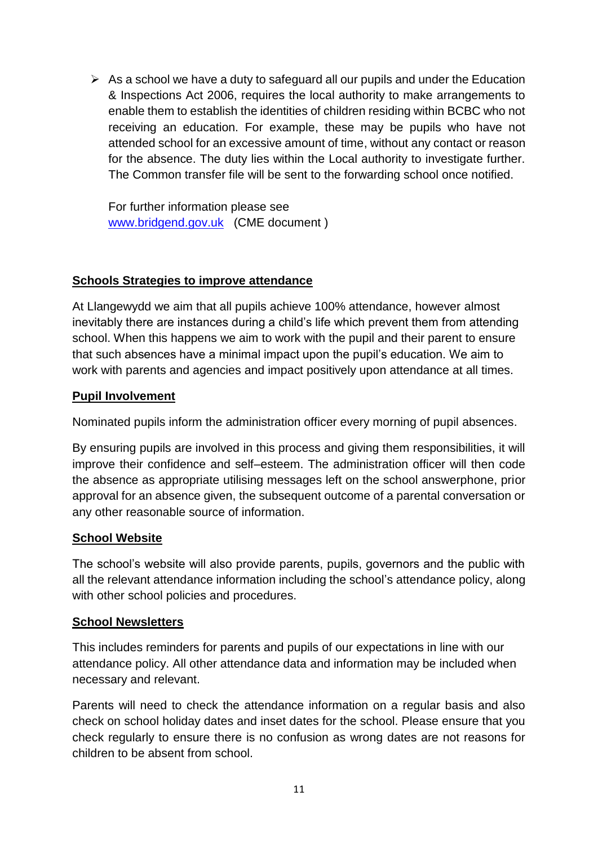$\triangleright$  As a school we have a duty to safeguard all our pupils and under the Education & Inspections Act 2006, requires the local authority to make arrangements to enable them to establish the identities of children residing within BCBC who not receiving an education. For example, these may be pupils who have not attended school for an excessive amount of time, without any contact or reason for the absence. The duty lies within the Local authority to investigate further. The Common transfer file will be sent to the forwarding school once notified.

For further information please see [www.bridgend.gov.uk](http://www.bridgend.gov.uk/) (CME document )

#### **Schools Strategies to improve attendance**

At Llangewydd we aim that all pupils achieve 100% attendance, however almost inevitably there are instances during a child's life which prevent them from attending school. When this happens we aim to work with the pupil and their parent to ensure that such absences have a minimal impact upon the pupil's education. We aim to work with parents and agencies and impact positively upon attendance at all times.

### **Pupil Involvement**

Nominated pupils inform the administration officer every morning of pupil absences.

By ensuring pupils are involved in this process and giving them responsibilities, it will improve their confidence and self–esteem. The administration officer will then code the absence as appropriate utilising messages left on the school answerphone, prior approval for an absence given, the subsequent outcome of a parental conversation or any other reasonable source of information.

## **School Website**

The school's website will also provide parents, pupils, governors and the public with all the relevant attendance information including the school's attendance policy, along with other school policies and procedures.

#### **School Newsletters**

This includes reminders for parents and pupils of our expectations in line with our attendance policy. All other attendance data and information may be included when necessary and relevant.

Parents will need to check the attendance information on a regular basis and also check on school holiday dates and inset dates for the school. Please ensure that you check regularly to ensure there is no confusion as wrong dates are not reasons for children to be absent from school.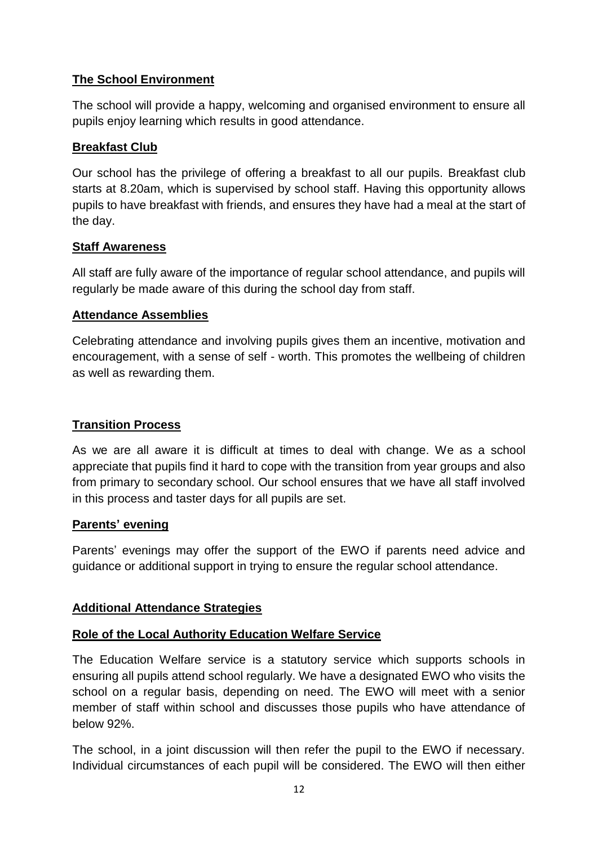### **The School Environment**

The school will provide a happy, welcoming and organised environment to ensure all pupils enjoy learning which results in good attendance.

### **Breakfast Club**

Our school has the privilege of offering a breakfast to all our pupils. Breakfast club starts at 8.20am, which is supervised by school staff. Having this opportunity allows pupils to have breakfast with friends, and ensures they have had a meal at the start of the day.

### **Staff Awareness**

All staff are fully aware of the importance of regular school attendance, and pupils will regularly be made aware of this during the school day from staff.

### **Attendance Assemblies**

Celebrating attendance and involving pupils gives them an incentive, motivation and encouragement, with a sense of self - worth. This promotes the wellbeing of children as well as rewarding them.

## **Transition Process**

As we are all aware it is difficult at times to deal with change. We as a school appreciate that pupils find it hard to cope with the transition from year groups and also from primary to secondary school. Our school ensures that we have all staff involved in this process and taster days for all pupils are set.

#### **Parents' evening**

Parents' evenings may offer the support of the EWO if parents need advice and guidance or additional support in trying to ensure the regular school attendance.

#### **Additional Attendance Strategies**

## **Role of the Local Authority Education Welfare Service**

The Education Welfare service is a statutory service which supports schools in ensuring all pupils attend school regularly. We have a designated EWO who visits the school on a regular basis, depending on need. The EWO will meet with a senior member of staff within school and discusses those pupils who have attendance of below 92%.

The school, in a joint discussion will then refer the pupil to the EWO if necessary. Individual circumstances of each pupil will be considered. The EWO will then either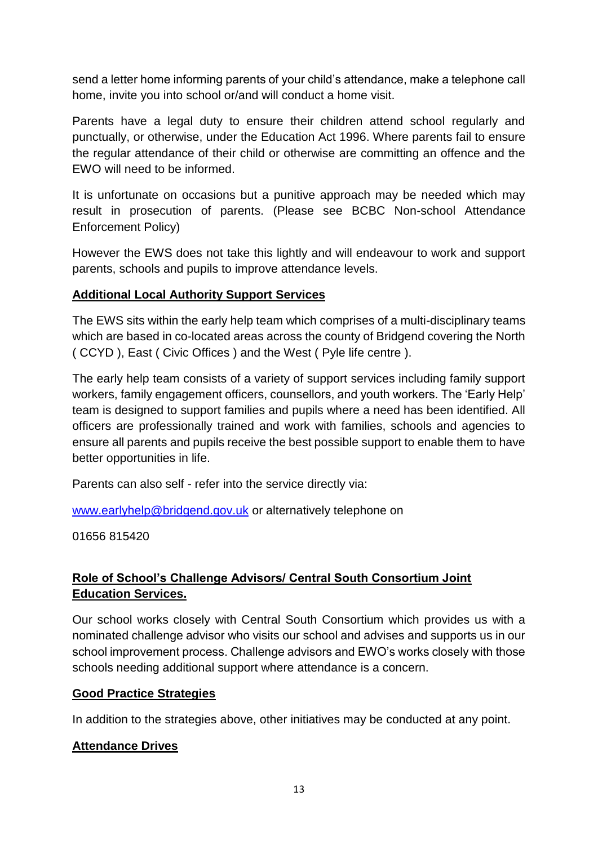send a letter home informing parents of your child's attendance, make a telephone call home, invite you into school or/and will conduct a home visit.

Parents have a legal duty to ensure their children attend school regularly and punctually, or otherwise, under the Education Act 1996. Where parents fail to ensure the regular attendance of their child or otherwise are committing an offence and the EWO will need to be informed.

It is unfortunate on occasions but a punitive approach may be needed which may result in prosecution of parents. (Please see BCBC Non-school Attendance Enforcement Policy)

However the EWS does not take this lightly and will endeavour to work and support parents, schools and pupils to improve attendance levels.

### **Additional Local Authority Support Services**

The EWS sits within the early help team which comprises of a multi-disciplinary teams which are based in co-located areas across the county of Bridgend covering the North ( CCYD ), East ( Civic Offices ) and the West ( Pyle life centre ).

The early help team consists of a variety of support services including family support workers, family engagement officers, counsellors, and youth workers. The 'Early Help' team is designed to support families and pupils where a need has been identified. All officers are professionally trained and work with families, schools and agencies to ensure all parents and pupils receive the best possible support to enable them to have better opportunities in life.

Parents can also self - refer into the service directly via:

[www.earlyhelp@bridgend.gov.uk](http://www.earlyhelp@bridgend.gov.uk) or alternatively telephone on

01656 815420

## **Role of School's Challenge Advisors/ Central South Consortium Joint Education Services.**

Our school works closely with Central South Consortium which provides us with a nominated challenge advisor who visits our school and advises and supports us in our school improvement process. Challenge advisors and EWO's works closely with those schools needing additional support where attendance is a concern.

#### **Good Practice Strategies**

In addition to the strategies above, other initiatives may be conducted at any point.

## **Attendance Drives**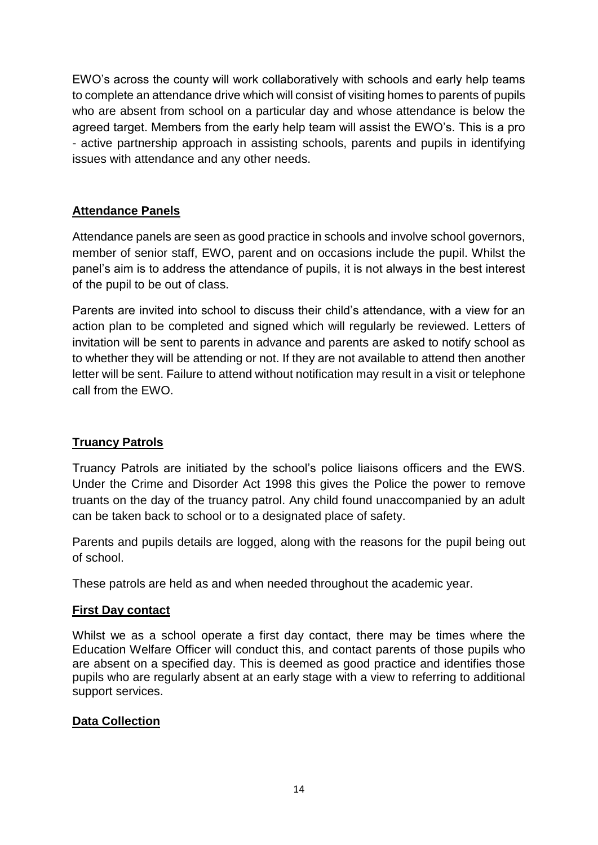EWO's across the county will work collaboratively with schools and early help teams to complete an attendance drive which will consist of visiting homes to parents of pupils who are absent from school on a particular day and whose attendance is below the agreed target. Members from the early help team will assist the EWO's. This is a pro - active partnership approach in assisting schools, parents and pupils in identifying issues with attendance and any other needs.

## **Attendance Panels**

Attendance panels are seen as good practice in schools and involve school governors, member of senior staff, EWO, parent and on occasions include the pupil. Whilst the panel's aim is to address the attendance of pupils, it is not always in the best interest of the pupil to be out of class.

Parents are invited into school to discuss their child's attendance, with a view for an action plan to be completed and signed which will regularly be reviewed. Letters of invitation will be sent to parents in advance and parents are asked to notify school as to whether they will be attending or not. If they are not available to attend then another letter will be sent. Failure to attend without notification may result in a visit or telephone call from the EWO.

## **Truancy Patrols**

Truancy Patrols are initiated by the school's police liaisons officers and the EWS. Under the Crime and Disorder Act 1998 this gives the Police the power to remove truants on the day of the truancy patrol. Any child found unaccompanied by an adult can be taken back to school or to a designated place of safety.

Parents and pupils details are logged, along with the reasons for the pupil being out of school.

These patrols are held as and when needed throughout the academic year.

## **First Day contact**

Whilst we as a school operate a first day contact, there may be times where the Education Welfare Officer will conduct this, and contact parents of those pupils who are absent on a specified day. This is deemed as good practice and identifies those pupils who are regularly absent at an early stage with a view to referring to additional support services.

## **Data Collection**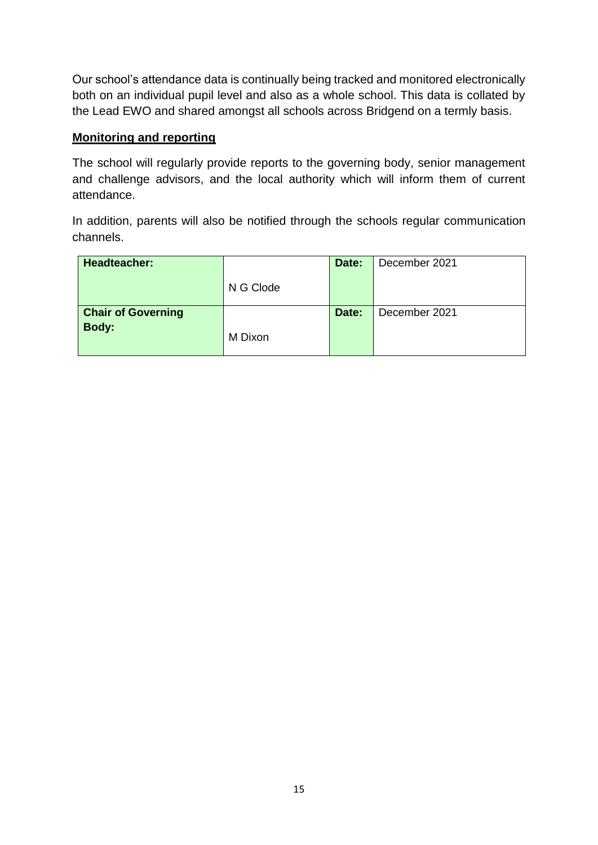Our school's attendance data is continually being tracked and monitored electronically both on an individual pupil level and also as a whole school. This data is collated by the Lead EWO and shared amongst all schools across Bridgend on a termly basis.

#### **Monitoring and reporting**

The school will regularly provide reports to the governing body, senior management and challenge advisors, and the local authority which will inform them of current attendance.

In addition, parents will also be notified through the schools regular communication channels.

| <b>Headteacher:</b>       |           | Date: | December 2021 |
|---------------------------|-----------|-------|---------------|
|                           | N G Clode |       |               |
| <b>Chair of Governing</b> |           | Date: | December 2021 |
| <b>Body:</b>              | M Dixon   |       |               |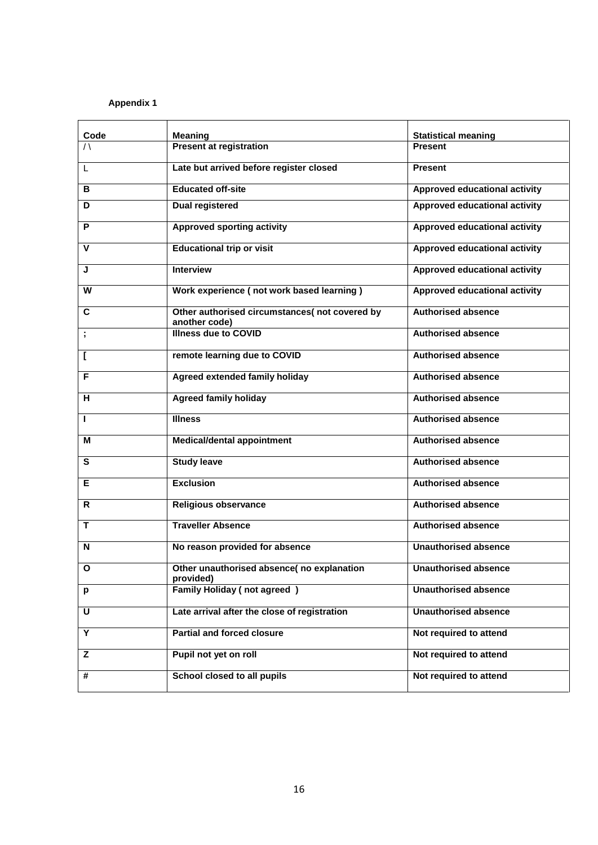#### **Appendix 1**

| Code         | <b>Meaning</b>                                                 | <b>Statistical meaning</b>           |
|--------------|----------------------------------------------------------------|--------------------------------------|
| $\wedge$     | <b>Present at registration</b>                                 | <b>Present</b>                       |
| L            | Late but arrived before register closed                        | <b>Present</b>                       |
| в            | <b>Educated off-site</b>                                       | <b>Approved educational activity</b> |
| D            | <b>Dual registered</b>                                         | <b>Approved educational activity</b> |
| P            | <b>Approved sporting activity</b>                              | <b>Approved educational activity</b> |
| V            | <b>Educational trip or visit</b>                               | <b>Approved educational activity</b> |
| J            | <b>Interview</b>                                               | <b>Approved educational activity</b> |
| W            | Work experience (not work based learning)                      | <b>Approved educational activity</b> |
| C            | Other authorised circumstances(not covered by<br>another code) | <b>Authorised absence</b>            |
| $\cdot$      | <b>Illness due to COVID</b>                                    | <b>Authorised absence</b>            |
| L            | remote learning due to COVID                                   | <b>Authorised absence</b>            |
| F            | Agreed extended family holiday                                 | <b>Authorised absence</b>            |
| н            | <b>Agreed family holiday</b>                                   | <b>Authorised absence</b>            |
| $\mathbf{I}$ | <b>Illness</b>                                                 | <b>Authorised absence</b>            |
| м            | <b>Medical/dental appointment</b>                              | <b>Authorised absence</b>            |
| S            | <b>Study leave</b>                                             | <b>Authorised absence</b>            |
| Е            | <b>Exclusion</b>                                               | <b>Authorised absence</b>            |
| R            | <b>Religious observance</b>                                    | <b>Authorised absence</b>            |
| T.           | <b>Traveller Absence</b>                                       | <b>Authorised absence</b>            |
| N            | No reason provided for absence                                 | <b>Unauthorised absence</b>          |
| $\mathbf{o}$ | Other unauthorised absence( no explanation<br>provided)        | Unauthorised absence                 |
| p            | <b>Family Holiday (not agreed)</b>                             | <b>Unauthorised absence</b>          |
| U            | Late arrival after the close of registration                   | <b>Unauthorised absence</b>          |
| Y            | <b>Partial and forced closure</b>                              | Not required to attend               |
| Z            | Pupil not yet on roll                                          | Not required to attend               |
| #            | School closed to all pupils                                    | Not required to attend               |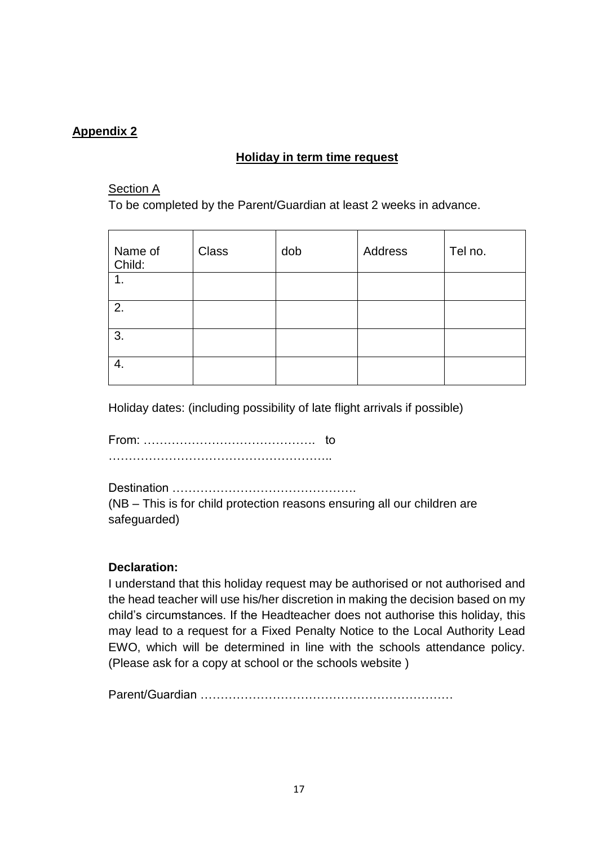### **Appendix 2**

#### **Holiday in term time request**

#### **Section A**

To be completed by the Parent/Guardian at least 2 weeks in advance.

| Name of<br>Child: | <b>Class</b> | dob | Address | Tel no. |
|-------------------|--------------|-----|---------|---------|
| 1.                |              |     |         |         |
| 2.                |              |     |         |         |
| 3.                |              |     |         |         |
| 4.                |              |     |         |         |

Holiday dates: (including possibility of late flight arrivals if possible)

From: ……………………………………. to ………………………………………………..

Destination ……………………………………….

(NB – This is for child protection reasons ensuring all our children are safeguarded)

#### **Declaration:**

I understand that this holiday request may be authorised or not authorised and the head teacher will use his/her discretion in making the decision based on my child's circumstances. If the Headteacher does not authorise this holiday, this may lead to a request for a Fixed Penalty Notice to the Local Authority Lead EWO, which will be determined in line with the schools attendance policy. (Please ask for a copy at school or the schools website )

Parent/Guardian ………………………………………………………